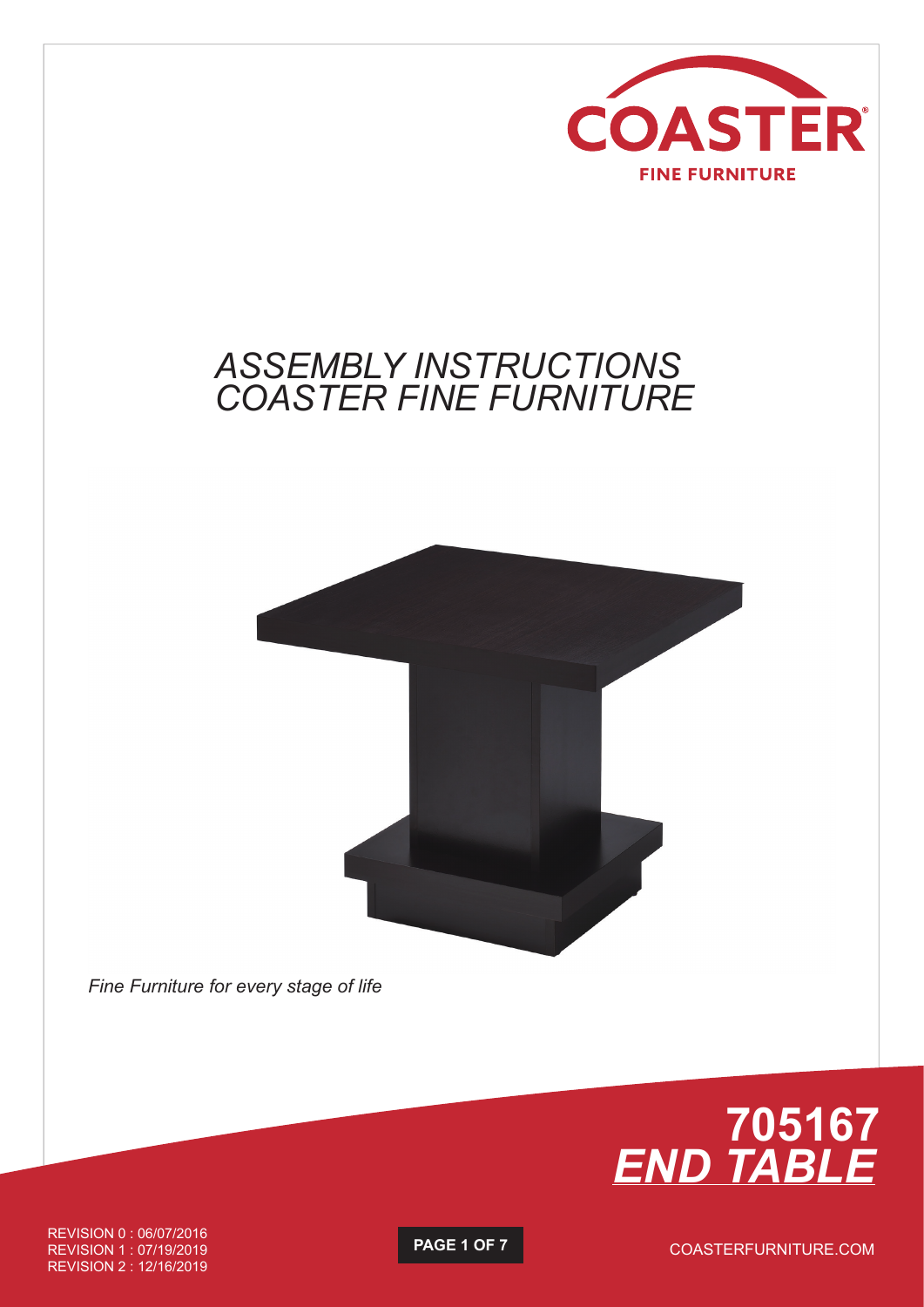

### *ASSEMBLY INSTRUCTIONS COASTER FINE FURNITURE*



*Fine Furniture for every stage of life*



REVISION 0 : 06/07/2016 REVISION 1 : 07/19/2019 REVISION 2 : 12/16/2019

**PAGE 1 OF 7**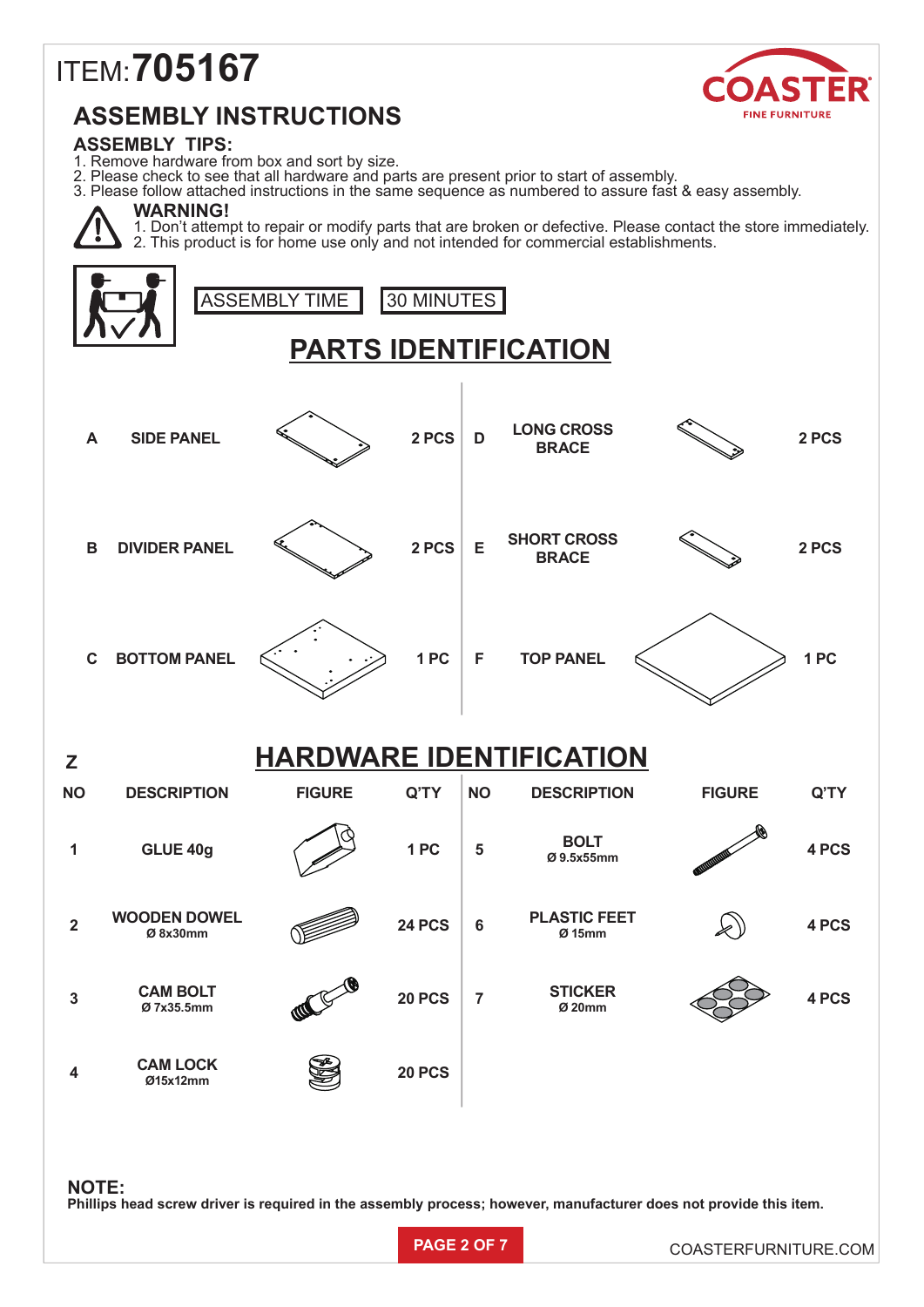# ITEM: **705167**



### **ASSEMBLY INSTRUCTIONS**

#### **ASSEMBLY TIPS:**

- 1. Remove hardware from box and sort by size.
- 2. Please check to see that all hardware and parts are present prior to start of assembly.
- 3. Please follow attached instructions in the same sequence as numbered to assure fast & easy assembly.

## **WARNING!**

1. Don't attempt to repair or modify parts that are broken or defective. Please contact the store immediately. 2. This product is for home use only and not intended for commercial establishments.

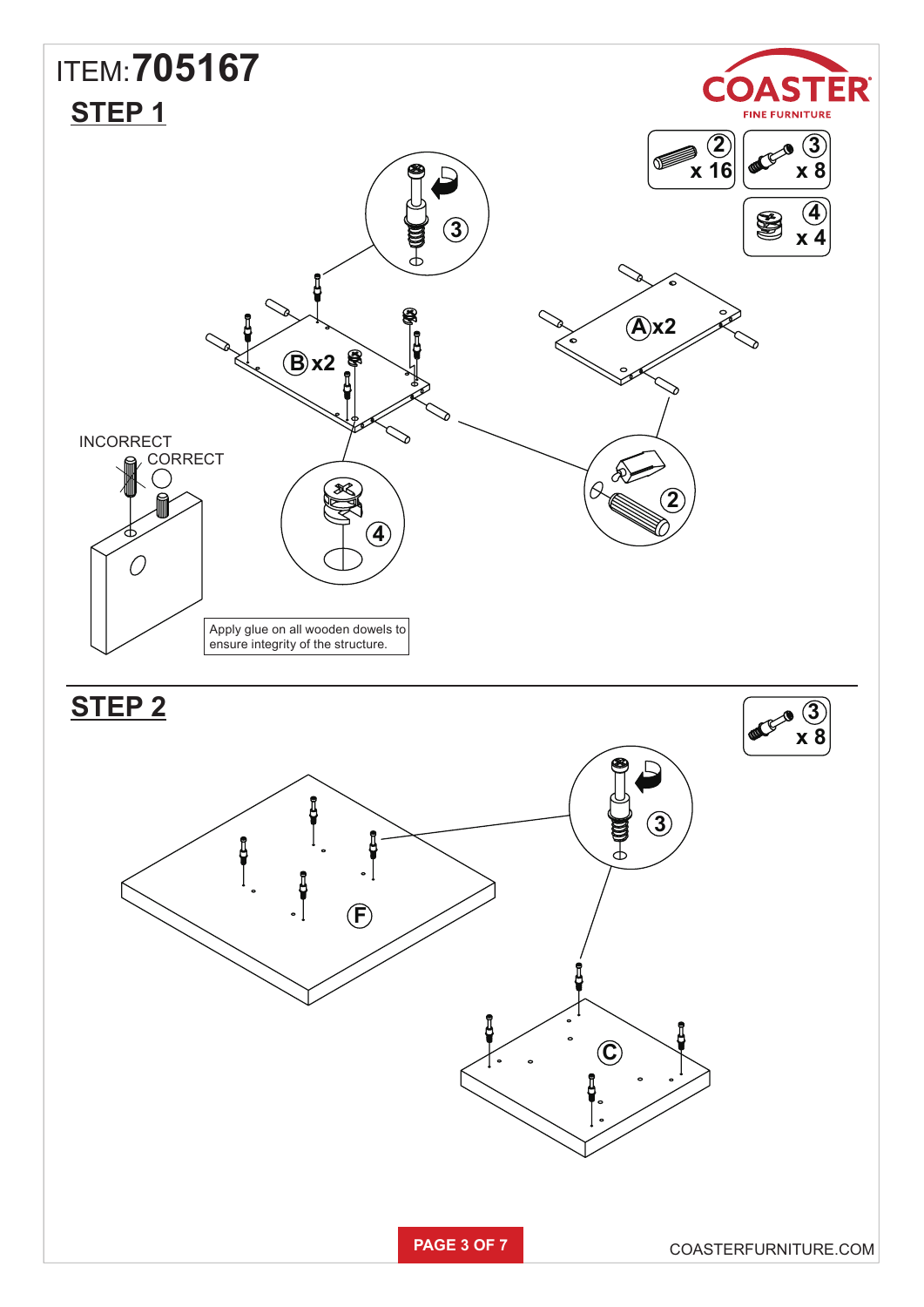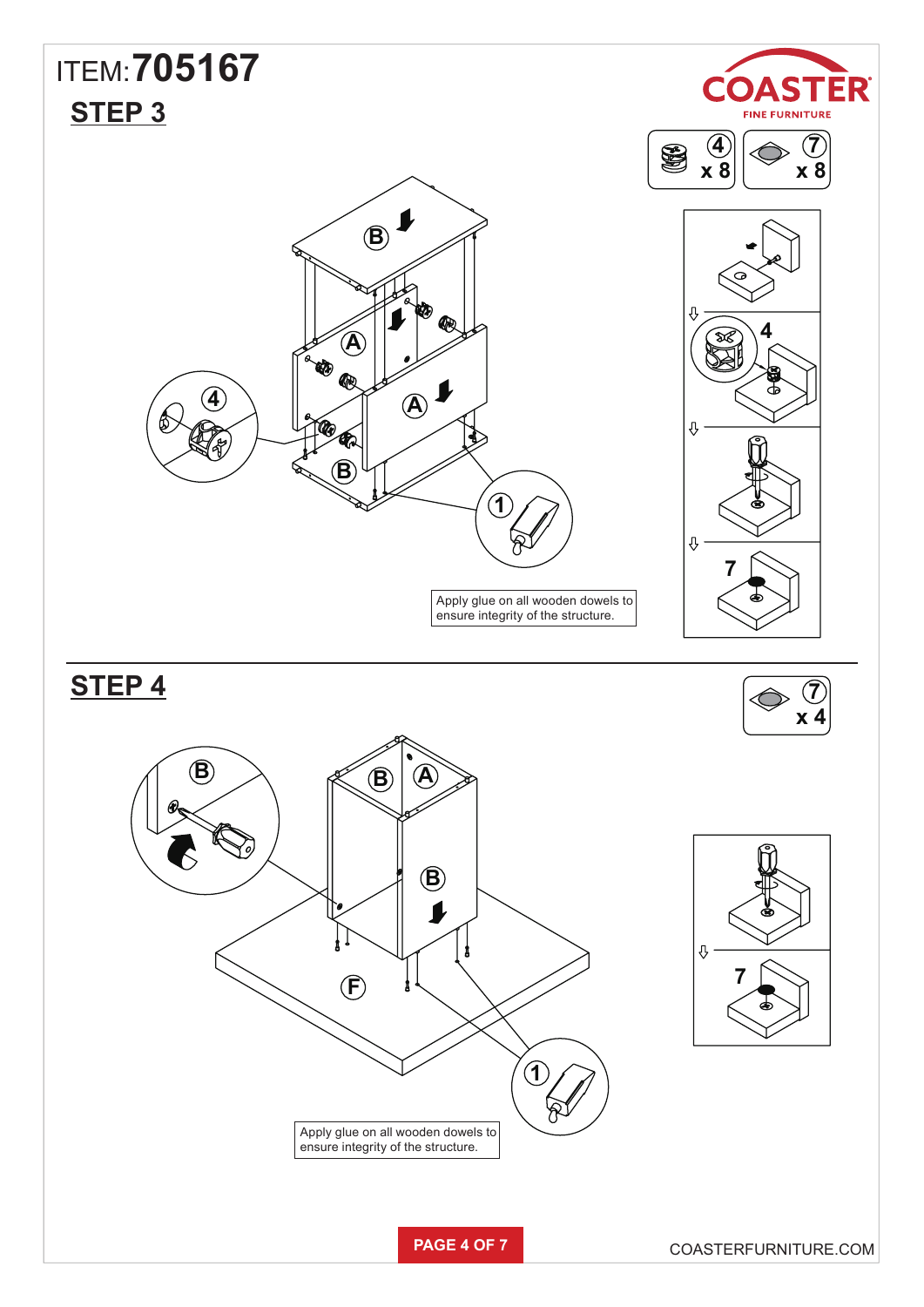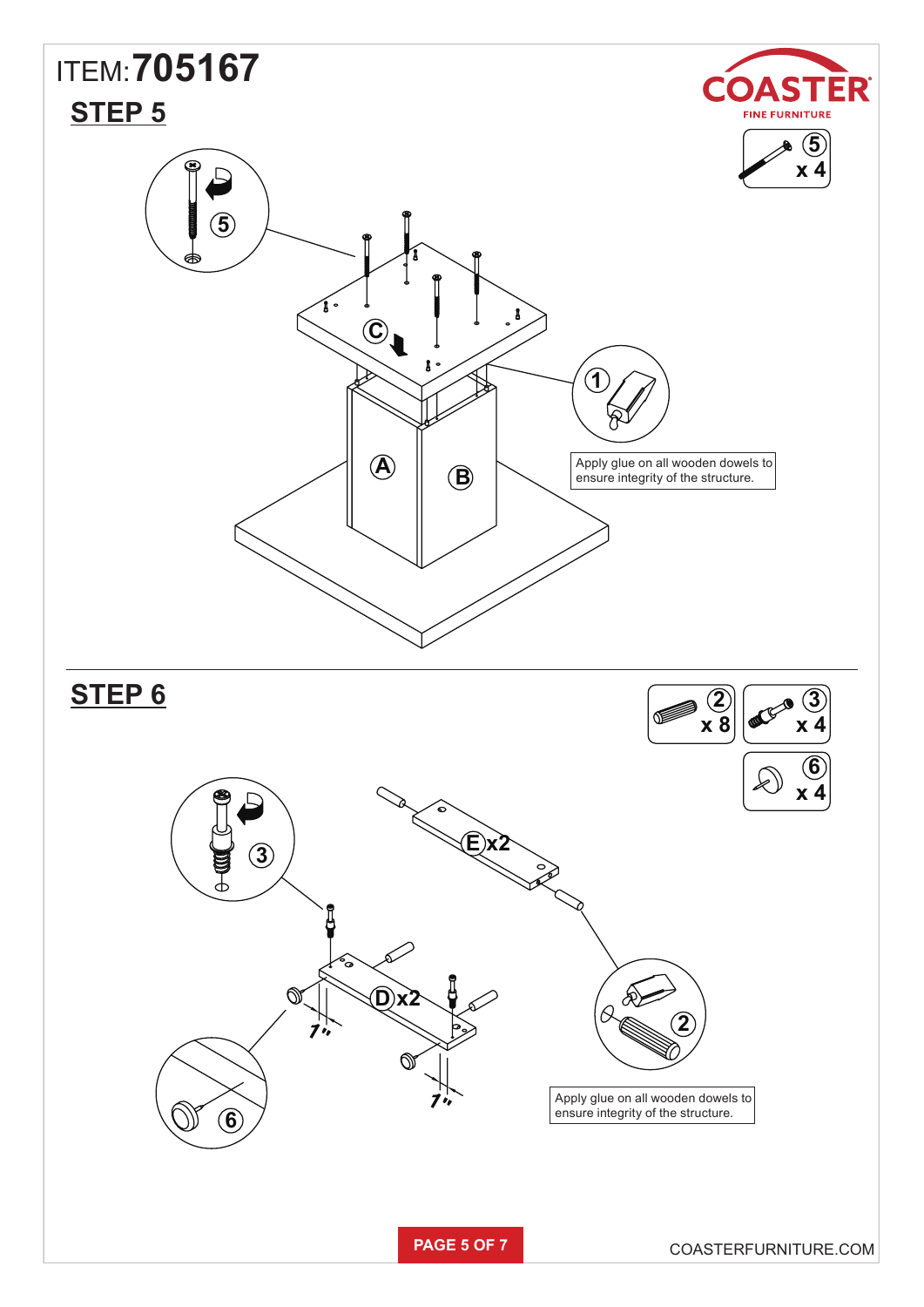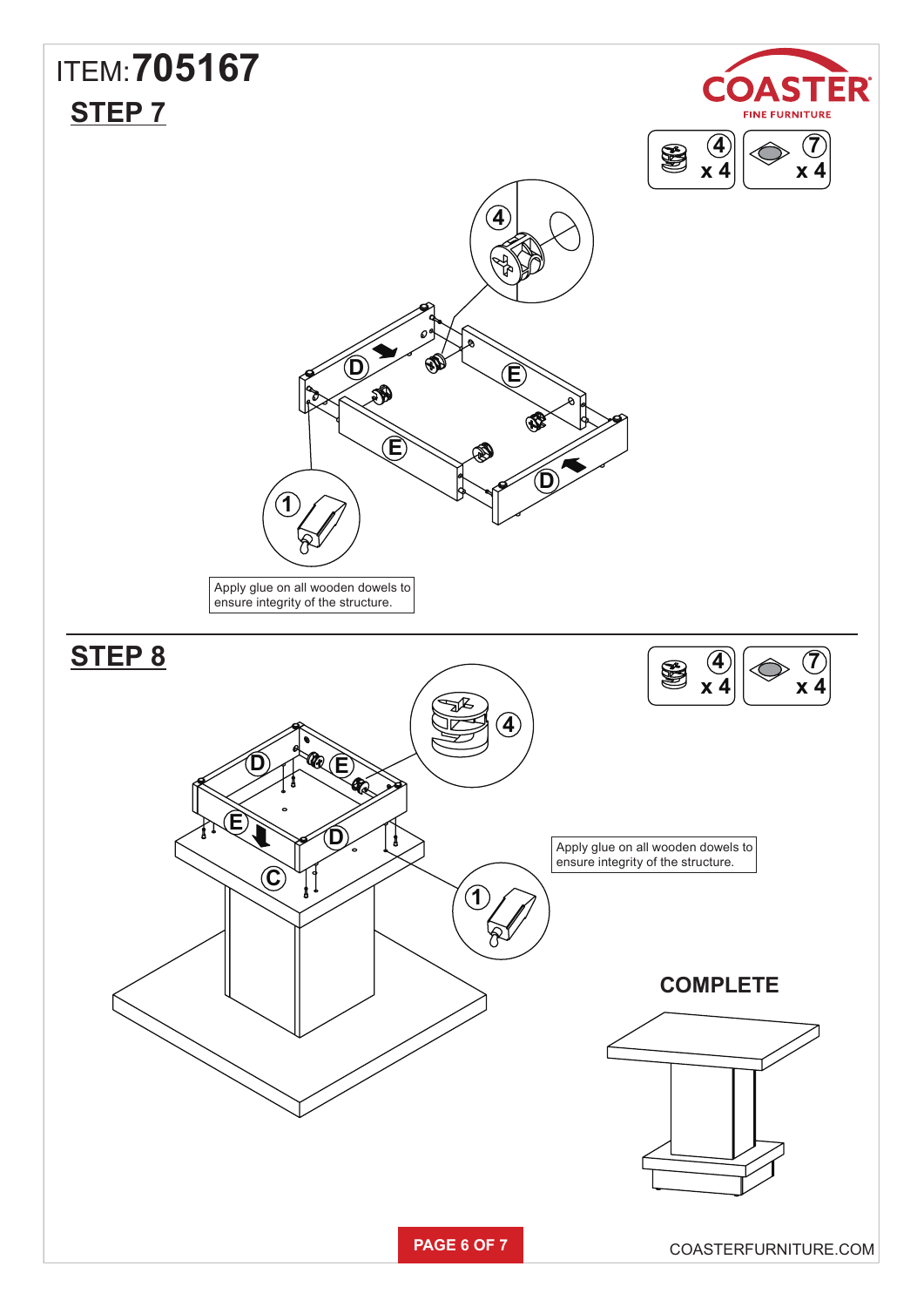